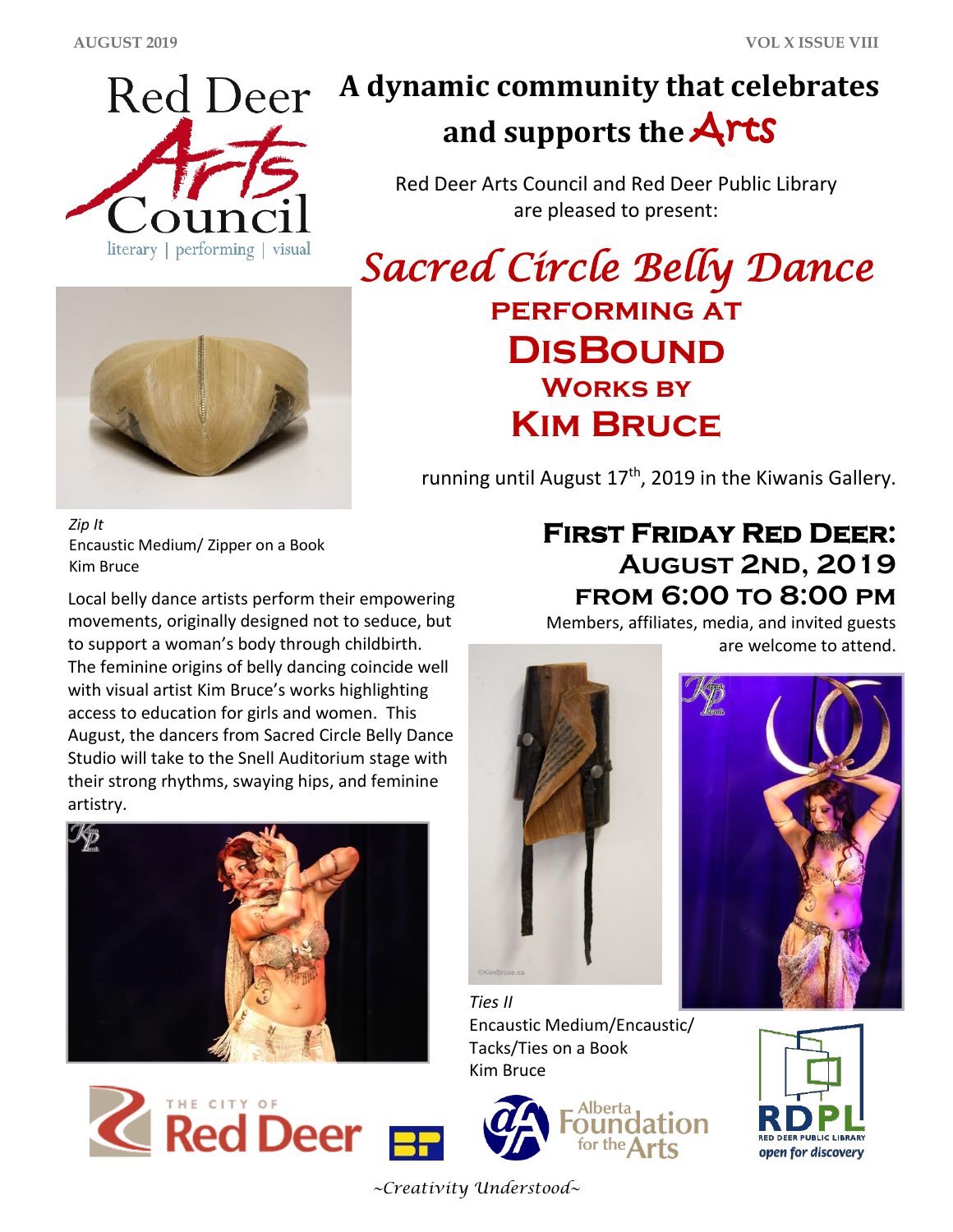

# **A dynamic community that celebrates and supports the** Arts

Red Deer Arts Council and Red Deer Public Library are pleased to present:

*Sacred Circle Belly Dance* **performing at DisBound Works by Kim Bruce**

running until August 17<sup>th</sup>, 2019 in the Kiwanis Gallery.

*Zip It* Encaustic Medium/ Zipper on a Book Kim Bruce

Local belly dance artists perform their empowering movements, originally designed not to seduce, but to support a woman's body through childbirth. The feminine origins of belly dancing coincide well with visual artist Kim Bruce's works highlighting access to education for girls and women. This August, the dancers from Sacred Circle Belly Dance Studio will take to the Snell Auditorium stage with their strong rhythms, swaying hips, and feminine artistry.





Members, affiliates, media, and invited guests are welcome to attend.





*Ties II* Encaustic Medium/Encaustic/ Tacks/Ties on a Book Kim Bruce



for the  $\Delta$ r



*~Creativity Understood~*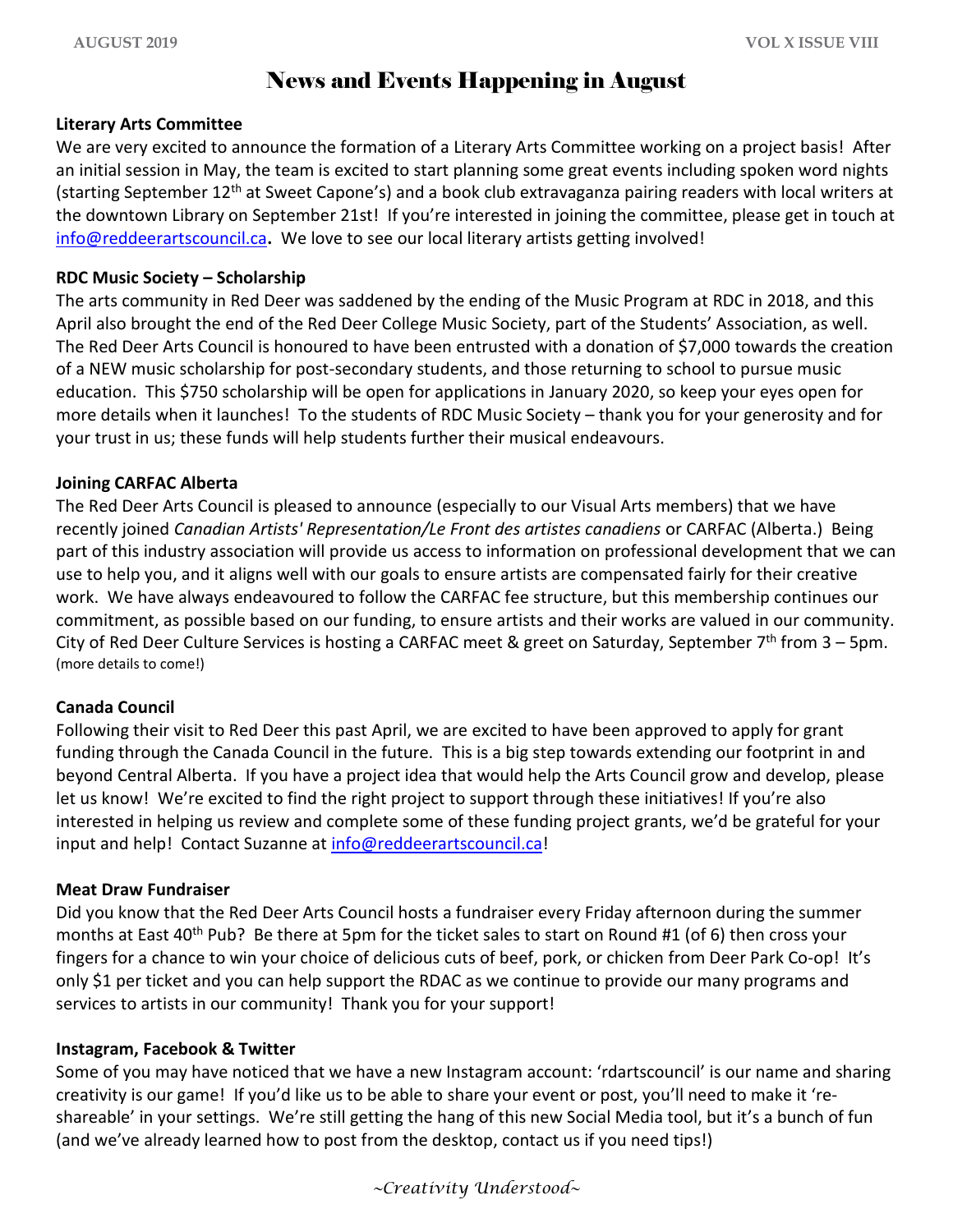## News and Events Happening in August

#### **Literary Arts Committee**

We are very excited to announce the formation of a Literary Arts Committee working on a project basis! After an initial session in May, the team is excited to start planning some great events including spoken word nights (starting September 12th at Sweet Capone's) and a book club extravaganza pairing readers with local writers at the downtown Library on September 21st! If you're interested in joining the committee, please get in touch at [info@reddeerartscouncil.ca](mailto:info@reddeerartscouncil.ca)**.** We love to see our local literary artists getting involved!

#### **RDC Music Society – Scholarship**

The arts community in Red Deer was saddened by the ending of the Music Program at RDC in 2018, and this April also brought the end of the Red Deer College Music Society, part of the Students' Association, as well. The Red Deer Arts Council is honoured to have been entrusted with a donation of \$7,000 towards the creation of a NEW music scholarship for post-secondary students, and those returning to school to pursue music education. This \$750 scholarship will be open for applications in January 2020, so keep your eyes open for more details when it launches! To the students of RDC Music Society – thank you for your generosity and for your trust in us; these funds will help students further their musical endeavours.

#### **Joining CARFAC Alberta**

The Red Deer Arts Council is pleased to announce (especially to our Visual Arts members) that we have recently joined *Canadian Artists' Representation/Le Front des artistes canadiens* or CARFAC (Alberta.) Being part of this industry association will provide us access to information on professional development that we can use to help you, and it aligns well with our goals to ensure artists are compensated fairly for their creative work. We have always endeavoured to follow the CARFAC fee structure, but this membership continues our commitment, as possible based on our funding, to ensure artists and their works are valued in our community. City of Red Deer Culture Services is hosting a CARFAC meet & greet on Saturday, September 7<sup>th</sup> from 3 – 5pm. (more details to come!)

#### **Canada Council**

Following their visit to Red Deer this past April, we are excited to have been approved to apply for grant funding through the Canada Council in the future. This is a big step towards extending our footprint in and beyond Central Alberta. If you have a project idea that would help the Arts Council grow and develop, please let us know! We're excited to find the right project to support through these initiatives! If you're also interested in helping us review and complete some of these funding project grants, we'd be grateful for your input and help! Contact Suzanne at [info@reddeerartscouncil.ca!](mailto:info@reddeerartscouncil.ca)

#### **Meat Draw Fundraiser**

Did you know that the Red Deer Arts Council hosts a fundraiser every Friday afternoon during the summer months at East 40<sup>th</sup> Pub? Be there at 5pm for the ticket sales to start on Round #1 (of 6) then cross your fingers for a chance to win your choice of delicious cuts of beef, pork, or chicken from Deer Park Co-op! It's only \$1 per ticket and you can help support the RDAC as we continue to provide our many programs and services to artists in our community! Thank you for your support!

#### **Instagram, Facebook & Twitter**

Some of you may have noticed that we have a new Instagram account: 'rdartscouncil' is our name and sharing creativity is our game! If you'd like us to be able to share your event or post, you'll need to make it 'reshareable' in your settings. We're still getting the hang of this new Social Media tool, but it's a bunch of fun (and we've already learned how to post from the desktop, contact us if you need tips!)